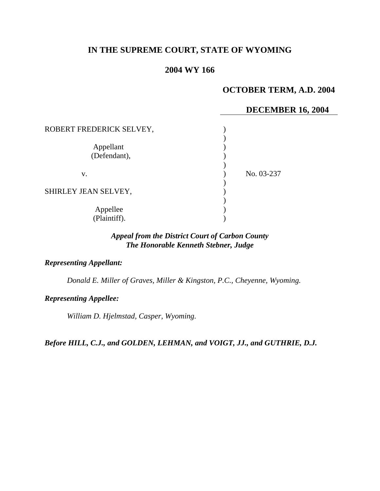# **IN THE SUPREME COURT, STATE OF WYOMING**

# **2004 WY 166**

# **OCTOBER TERM, A.D. 2004**

### **DECEMBER 16, 2004**

| ROBERT FREDERICK SELVEY,  |            |
|---------------------------|------------|
| Appellant<br>(Defendant), |            |
| V.                        | No. 03-237 |
| SHIRLEY JEAN SELVEY,      |            |
| Appellee<br>(Plaintiff).  |            |

# *Appeal from the District Court of Carbon County The Honorable Kenneth Stebner, Judge*

#### *Representing Appellant:*

*Donald E. Miller of Graves, Miller & Kingston, P.C., Cheyenne, Wyoming.* 

#### *Representing Appellee:*

*William D. Hjelmstad, Casper, Wyoming.* 

*Before HILL, C.J., and GOLDEN, LEHMAN, and VOIGT, JJ., and GUTHRIE, D.J.*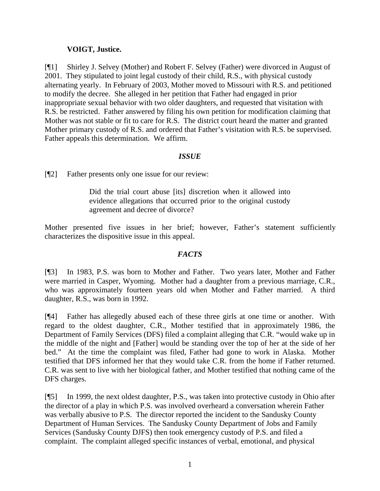## **VOIGT, Justice.**

[¶1] Shirley J. Selvey (Mother) and Robert F. Selvey (Father) were divorced in August of 2001. They stipulated to joint legal custody of their child, R.S., with physical custody alternating yearly. In February of 2003, Mother moved to Missouri with R.S. and petitioned to modify the decree. She alleged in her petition that Father had engaged in prior inappropriate sexual behavior with two older daughters, and requested that visitation with R.S. be restricted. Father answered by filing his own petition for modification claiming that Mother was not stable or fit to care for R.S. The district court heard the matter and granted Mother primary custody of R.S. and ordered that Father's visitation with R.S. be supervised. Father appeals this determination. We affirm.

## *ISSUE*

[¶2] Father presents only one issue for our review:

Did the trial court abuse [its] discretion when it allowed into evidence allegations that occurred prior to the original custody agreement and decree of divorce?

Mother presented five issues in her brief; however, Father's statement sufficiently characterizes the dispositive issue in this appeal.

# *FACTS*

[¶3] In 1983, P.S. was born to Mother and Father. Two years later, Mother and Father were married in Casper, Wyoming. Mother had a daughter from a previous marriage, C.R., who was approximately fourteen years old when Mother and Father married. A third daughter, R.S., was born in 1992.

[¶4] Father has allegedly abused each of these three girls at one time or another. With regard to the oldest daughter, C.R., Mother testified that in approximately 1986, the Department of Family Services (DFS) filed a complaint alleging that C.R. "would wake up in the middle of the night and [Father] would be standing over the top of her at the side of her bed." At the time the complaint was filed, Father had gone to work in Alaska. Mother testified that DFS informed her that they would take C.R. from the home if Father returned. C.R. was sent to live with her biological father, and Mother testified that nothing came of the DFS charges.

[¶5] In 1999, the next oldest daughter, P.S., was taken into protective custody in Ohio after the director of a play in which P.S. was involved overheard a conversation wherein Father was verbally abusive to P.S. The director reported the incident to the Sandusky County Department of Human Services. The Sandusky County Department of Jobs and Family Services (Sandusky County DJFS) then took emergency custody of P.S. and filed a complaint. The complaint alleged specific instances of verbal, emotional, and physical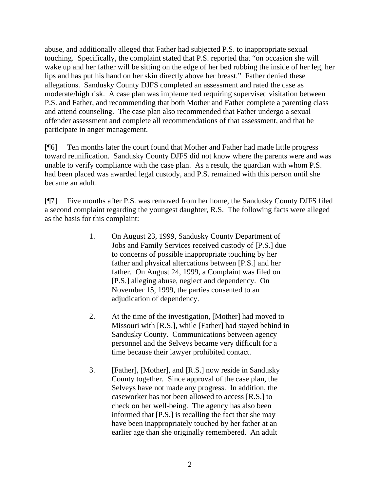abuse, and additionally alleged that Father had subjected P.S. to inappropriate sexual touching. Specifically, the complaint stated that P.S. reported that "on occasion she will wake up and her father will be sitting on the edge of her bed rubbing the inside of her leg, her lips and has put his hand on her skin directly above her breast." Father denied these allegations. Sandusky County DJFS completed an assessment and rated the case as moderate/high risk. A case plan was implemented requiring supervised visitation between P.S. and Father, and recommending that both Mother and Father complete a parenting class and attend counseling. The case plan also recommended that Father undergo a sexual offender assessment and complete all recommendations of that assessment, and that he participate in anger management.

[¶6] Ten months later the court found that Mother and Father had made little progress toward reunification. Sandusky County DJFS did not know where the parents were and was unable to verify compliance with the case plan. As a result, the guardian with whom P.S. had been placed was awarded legal custody, and P.S. remained with this person until she became an adult.

[¶7] Five months after P.S. was removed from her home, the Sandusky County DJFS filed a second complaint regarding the youngest daughter, R.S. The following facts were alleged as the basis for this complaint:

- 1. On August 23, 1999, Sandusky County Department of Jobs and Family Services received custody of [P.S.] due to concerns of possible inappropriate touching by her father and physical altercations between [P.S.] and her father. On August 24, 1999, a Complaint was filed on [P.S.] alleging abuse, neglect and dependency. On November 15, 1999, the parties consented to an adjudication of dependency.
- 2. At the time of the investigation, [Mother] had moved to Missouri with [R.S.], while [Father] had stayed behind in Sandusky County. Communications between agency personnel and the Selveys became very difficult for a time because their lawyer prohibited contact.
- 3. [Father], [Mother], and [R.S.] now reside in Sandusky County together. Since approval of the case plan, the Selveys have not made any progress. In addition, the caseworker has not been allowed to access [R.S.] to check on her well-being. The agency has also been informed that [P.S.] is recalling the fact that she may have been inappropriately touched by her father at an earlier age than she originally remembered. An adult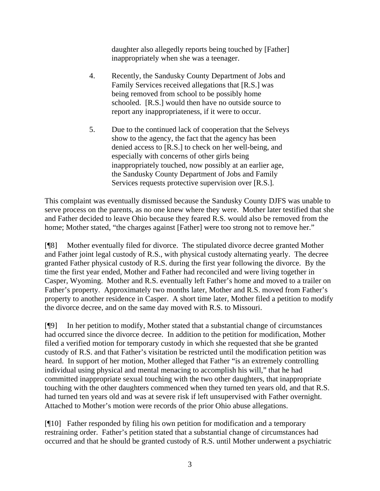daughter also allegedly reports being touched by [Father] inappropriately when she was a teenager.

- 4. Recently, the Sandusky County Department of Jobs and Family Services received allegations that [R.S.] was being removed from school to be possibly home schooled. [R.S.] would then have no outside source to report any inappropriateness, if it were to occur.
- 5. Due to the continued lack of cooperation that the Selveys show to the agency, the fact that the agency has been denied access to [R.S.] to check on her well-being, and especially with concerns of other girls being inappropriately touched, now possibly at an earlier age, the Sandusky County Department of Jobs and Family Services requests protective supervision over [R.S.].

This complaint was eventually dismissed because the Sandusky County DJFS was unable to serve process on the parents, as no one knew where they were. Mother later testified that she and Father decided to leave Ohio because they feared R.S. would also be removed from the home; Mother stated, "the charges against [Father] were too strong not to remove her."

[¶8] Mother eventually filed for divorce. The stipulated divorce decree granted Mother and Father joint legal custody of R.S., with physical custody alternating yearly. The decree granted Father physical custody of R.S. during the first year following the divorce. By the time the first year ended, Mother and Father had reconciled and were living together in Casper, Wyoming. Mother and R.S. eventually left Father's home and moved to a trailer on Father's property. Approximately two months later, Mother and R.S. moved from Father's property to another residence in Casper. A short time later, Mother filed a petition to modify the divorce decree, and on the same day moved with R.S. to Missouri.

[¶9] In her petition to modify, Mother stated that a substantial change of circumstances had occurred since the divorce decree. In addition to the petition for modification, Mother filed a verified motion for temporary custody in which she requested that she be granted custody of R.S. and that Father's visitation be restricted until the modification petition was heard. In support of her motion, Mother alleged that Father "is an extremely controlling individual using physical and mental menacing to accomplish his will," that he had committed inappropriate sexual touching with the two other daughters, that inappropriate touching with the other daughters commenced when they turned ten years old, and that R.S. had turned ten years old and was at severe risk if left unsupervised with Father overnight. Attached to Mother's motion were records of the prior Ohio abuse allegations.

[¶10] Father responded by filing his own petition for modification and a temporary restraining order. Father's petition stated that a substantial change of circumstances had occurred and that he should be granted custody of R.S. until Mother underwent a psychiatric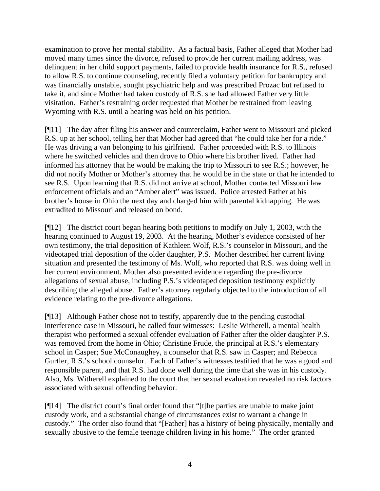examination to prove her mental stability. As a factual basis, Father alleged that Mother had moved many times since the divorce, refused to provide her current mailing address, was delinquent in her child support payments, failed to provide health insurance for R.S., refused to allow R.S. to continue counseling, recently filed a voluntary petition for bankruptcy and was financially unstable, sought psychiatric help and was prescribed Prozac but refused to take it, and since Mother had taken custody of R.S. she had allowed Father very little visitation. Father's restraining order requested that Mother be restrained from leaving Wyoming with R.S. until a hearing was held on his petition.

[¶11] The day after filing his answer and counterclaim, Father went to Missouri and picked R.S. up at her school, telling her that Mother had agreed that "he could take her for a ride." He was driving a van belonging to his girlfriend. Father proceeded with R.S. to Illinois where he switched vehicles and then drove to Ohio where his brother lived. Father had informed his attorney that he would be making the trip to Missouri to see R.S.; however, he did not notify Mother or Mother's attorney that he would be in the state or that he intended to see R.S. Upon learning that R.S. did not arrive at school, Mother contacted Missouri law enforcement officials and an "Amber alert" was issued. Police arrested Father at his brother's house in Ohio the next day and charged him with parental kidnapping. He was extradited to Missouri and released on bond.

[¶12] The district court began hearing both petitions to modify on July 1, 2003, with the hearing continued to August 19, 2003. At the hearing, Mother's evidence consisted of her own testimony, the trial deposition of Kathleen Wolf, R.S.'s counselor in Missouri, and the videotaped trial deposition of the older daughter, P.S. Mother described her current living situation and presented the testimony of Ms. Wolf, who reported that R.S. was doing well in her current environment. Mother also presented evidence regarding the pre-divorce allegations of sexual abuse, including P.S.'s videotaped deposition testimony explicitly describing the alleged abuse. Father's attorney regularly objected to the introduction of all evidence relating to the pre-divorce allegations.

[¶13] Although Father chose not to testify, apparently due to the pending custodial interference case in Missouri, he called four witnesses: Leslie Witherell, a mental health therapist who performed a sexual offender evaluation of Father after the older daughter P.S. was removed from the home in Ohio; Christine Frude, the principal at R.S.'s elementary school in Casper; Sue McConaughey, a counselor that R.S. saw in Casper; and Rebecca Gurtler, R.S.'s school counselor. Each of Father's witnesses testified that he was a good and responsible parent, and that R.S. had done well during the time that she was in his custody. Also, Ms. Witherell explained to the court that her sexual evaluation revealed no risk factors associated with sexual offending behavior.

[¶14] The district court's final order found that "[t]he parties are unable to make joint custody work, and a substantial change of circumstances exist to warrant a change in custody." The order also found that "[Father] has a history of being physically, mentally and sexually abusive to the female teenage children living in his home." The order granted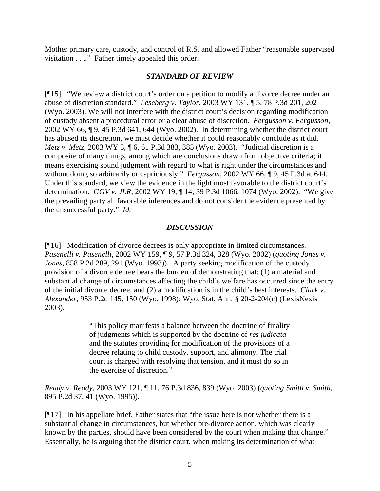Mother primary care, custody, and control of R.S. and allowed Father "reasonable supervised visitation . . .." Father timely appealed this order.

### *STANDARD OF REVIEW*

[¶15] "We review a district court's order on a petition to modify a divorce decree under an abuse of discretion standard." *Leseberg v. Taylor*, 2003 WY 131, ¶ 5, 78 P.3d 201, 202 (Wyo. 2003). We will not interfere with the district court's decision regarding modification of custody absent a procedural error or a clear abuse of discretion. *Fergusson v. Fergusson,*  2002 WY 66, ¶ 9, 45 P.3d 641, 644 (Wyo. 2002). In determining whether the district court has abused its discretion, we must decide whether it could reasonably conclude as it did. *Metz v. Metz*, 2003 WY 3, ¶ 6, 61 P.3d 383, 385 (Wyo. 2003). "Judicial discretion is a composite of many things, among which are conclusions drawn from objective criteria; it means exercising sound judgment with regard to what is right under the circumstances and without doing so arbitrarily or capriciously." *Fergusson,* 2002 WY 66, ¶ 9, 45 P.3d at 644. Under this standard, we view the evidence in the light most favorable to the district court's determination. *GGV v. JLR*, 2002 WY 19, ¶ 14, 39 P.3d 1066, 1074 (Wyo. 2002). "We give the prevailing party all favorable inferences and do not consider the evidence presented by the unsuccessful party." *Id.*

## *DISCUSSION*

[¶16] Modification of divorce decrees is only appropriate in limited circumstances. *Pasenelli v. Pasenelli*, 2002 WY 159, ¶ 9, 57 P.3d 324, 328 (Wyo. 2002) (*quoting Jones v. Jones*, 858 P.2d 289, 291 (Wyo. 1993)).A party seeking modification of the custody provision of a divorce decree bears the burden of demonstrating that: (1) a material and substantial change of circumstances affecting the child's welfare has occurred since the entry of the initial divorce decree, and (2) a modification is in the child's best interests. *Clark v. Alexander,* 953 P.2d 145, 150 (Wyo. 1998); Wyo. Stat. Ann. § 20-2-204(c) (LexisNexis 2003).

> "This policy manifests a balance between the doctrine of finality of judgments which is supported by the doctrine of *res judicata* and the statutes providing for modification of the provisions of a decree relating to child custody, support, and alimony. The trial court is charged with resolving that tension, and it must do so in the exercise of discretion."

*Ready v. Ready*, 2003 WY 121, ¶ 11, 76 P.3d 836, 839 (Wyo. 2003) (*quoting Smith v. Smith*, 895 P.2d 37, 41 (Wyo. 1995)).

[¶17] In his appellate brief, Father states that "the issue here is not whether there is a substantial change in circumstances, but whether pre-divorce action, which was clearly known by the parties, should have been considered by the court when making that change." Essentially, he is arguing that the district court, when making its determination of what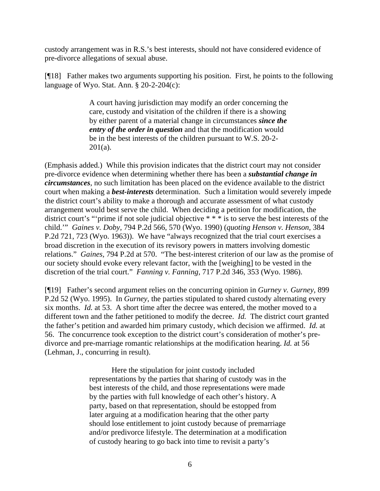custody arrangement was in R.S.'s best interests, should not have considered evidence of pre-divorce allegations of sexual abuse.

[¶18] Father makes two arguments supporting his position. First, he points to the following language of Wyo. Stat. Ann. § 20-2-204(c):

> A court having jurisdiction may modify an order concerning the care, custody and visitation of the children if there is a showing by either parent of a material change in circumstances *since the entry of the order in question* and that the modification would be in the best interests of the children pursuant to W.S. 20-2-  $201(a)$ .

(Emphasis added.) While this provision indicates that the district court may not consider pre-divorce evidence when determining whether there has been a *substantial change in circumstances*, no such limitation has been placed on the evidence available to the district court when making a *best-interests* determination. Such a limitation would severely impede the district court's ability to make a thorough and accurate assessment of what custody arrangement would best serve the child. When deciding a petition for modification, the district court's "'prime if not sole judicial objective \* \* \* is to serve the best interests of the child.'" *Gaines v. Doby,* 794 P.2d 566, 570 (Wyo. 1990) (*quoting Henson v. Henson,* 384 P.2d 721, 723 (Wyo. 1963)). We have "always recognized that the trial court exercises a broad discretion in the execution of its revisory powers in matters involving domestic relations." *Gaines,* 794 P.2d at 570. "The best-interest criterion of our law as the promise of our society should evoke every relevant factor, with the [weighing] to be vested in the discretion of the trial court." *Fanning v. Fanning,* 717 P.2d 346, 353 (Wyo. 1986).

[¶19] Father's second argument relies on the concurring opinion in *Gurney v. Gurney,* 899 P.2d 52 (Wyo. 1995). In *Gurney*, the parties stipulated to shared custody alternating every six months. *Id.* at 53. A short time after the decree was entered, the mother moved to a different town and the father petitioned to modify the decree. *Id.* The district court granted the father's petition and awarded him primary custody, which decision we affirmed. *Id.* at 56. The concurrence took exception to the district court's consideration of mother's predivorce and pre-marriage romantic relationships at the modification hearing. *Id.* at 56 (Lehman, J., concurring in result).

> Here the stipulation for joint custody included representations by the parties that sharing of custody was in the best interests of the child, and those representations were made by the parties with full knowledge of each other's history. A party, based on that representation, should be estopped from later arguing at a modification hearing that the other party should lose entitlement to joint custody because of premarriage and/or predivorce lifestyle. The determination at a modification of custody hearing to go back into time to revisit a party's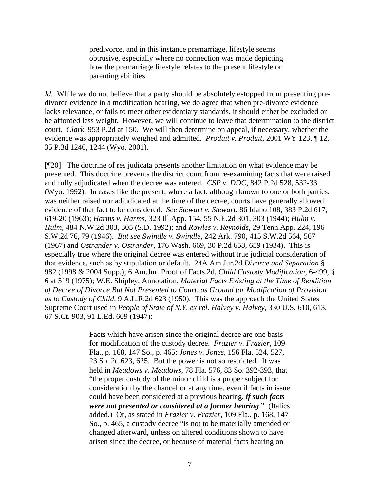predivorce, and in this instance premarriage, lifestyle seems obtrusive, especially where no connection was made depicting how the premarriage lifestyle relates to the present lifestyle or parenting abilities.

*Id.* While we do not believe that a party should be absolutely estopped from presenting predivorce evidence in a modification hearing, we do agree that when pre-divorce evidence lacks relevance, or fails to meet other evidentiary standards, it should either be excluded or be afforded less weight. However, we will continue to leave that determination to the district court. *Clark*, 953 P.2d at 150. We will then determine on appeal, if necessary, whether the evidence was appropriately weighed and admitted. *Produit v. Produit,* 2001 WY 123, ¶ 12, 35 P.3d 1240, 1244 (Wyo. 2001).

[¶20] The doctrine of res judicata presents another limitation on what evidence may be presented. This doctrine prevents the district court from re-examining facts that were raised and fully adjudicated when the decree was entered. *CSP v. DDC*, 842 P.2d 528, 532-33 (Wyo. 1992). In cases like the present, where a fact, although known to one or both parties, was neither raised nor adjudicated at the time of the decree, courts have generally allowed evidence of that fact to be considered. *See Stewart v. Stewart,* 86 Idaho 108, 383 P.2d 617, 619-20 (1963); *Harms v. Harms,* 323 Ill.App. 154, 55 N.E.2d 301, 303 (1944); *Hulm v. Hulm,* 484 N.W.2d 303, 305 (S.D. 1992); and *Rowles v. Reynolds,* 29 Tenn.App. 224, 196 S.W.2d 76, 79 (1946). *But see Swindle v. Swindle,* 242 Ark. 790, 415 S.W.2d 564, 567 (1967) and *Ostrander v. Ostrander,* 176 Wash. 669, 30 P.2d 658, 659 (1934). This is especially true where the original decree was entered without true judicial consideration of that evidence, such as by stipulation or default. 24A Am.Jur.2d *Divorce and Separation* § 982 (1998 & 2004 Supp.); 6 Am.Jur. Proof of Facts.2d, *Child Custody Modification*, 6-499, § 6 at 519 (1975); W.E. Shipley, Annotation, *Material Facts Existing at the Time of Rendition of Decree of Divorce But Not Presented to Court, as Ground for Modification of Provision as to Custody of Child,* 9 A.L.R.2d 623 (1950). This was the approach the United States Supreme Court used in *People of State of N.Y. ex rel. Halvey v. Halvey*, 330 U.S. 610, 613, 67 S.Ct. 903, 91 L.Ed. 609 (1947):

> Facts which have arisen since the original decree are one basis for modification of the custody decree. *Frazier v. Frazier*, 109 Fla., p. 168, 147 So., p. 465; *Jones v. Jones*, 156 Fla. 524, 527, 23 So. 2d 623, 625. But the power is not so restricted. It was held in *Meadows v. Meadows*, 78 Fla. 576, 83 So. 392-393, that "the proper custody of the minor child is a proper subject for consideration by the chancellor at any time, even if facts in issue could have been considered at a previous hearing, *if such facts were not presented or considered at a former hearing*." (Italics added.) Or, as stated in *Frazier v. Frazier*, 109 Fla., p. 168, 147 So., p. 465, a custody decree "is not to be materially amended or changed afterward, unless on altered conditions shown to have arisen since the decree, or because of material facts bearing on